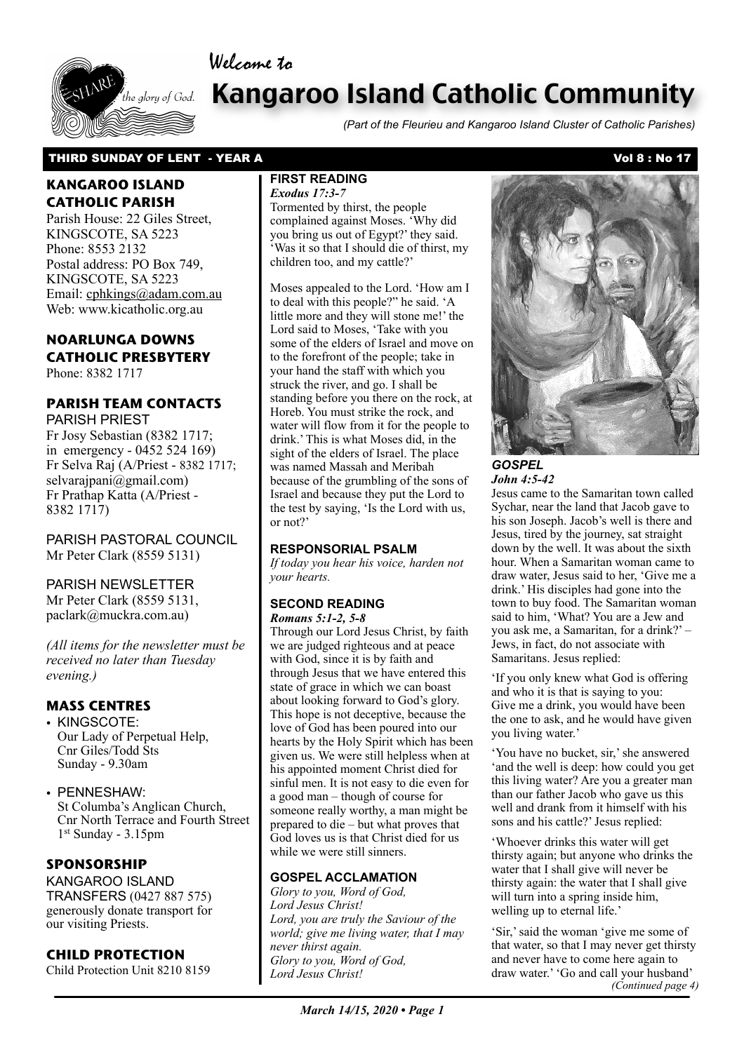

# $\mathcal{H}_{theglory of God.}$  Kangaroo Island Catholic Community

*(Part of the Fleurieu and Kangaroo Island Cluster of Catholic Parishes)*

# THIRD SUNDAY OF LENT - YEAR A Vol 8 : No 17

# **KANGAROO ISLAND CATHOLIC PARISH**

Parish House: 22 Giles Street, KINGSCOTE, SA 5223 Phone: 8553 2132 Postal address: PO Box 749, KINGSCOTE, SA 5223 Email: cphkings@adam.com.au Web: www.kicatholic.org.au

# **NOARLUNGA DOWNS CATHOLIC PRESBYTERY**

Phone: 8382 1717

#### **PARISH TEAM CONTACTS** PARISH PRIEST

Fr Josy Sebastian (8382 1717; in emergency - 0452 524 169) Fr Selva Raj (A/Priest - 8382 1717; selvarajpani@gmail.com) Fr Prathap Katta (A/Priest - 8382 1717)

PARISH PASTORAL COUNCIL Mr Peter Clark (8559 5131)

### PARISH NEWSLETTER

Mr Peter Clark (8559 5131, paclark@muckra.com.au)

*(All items for the newsletter must be received no later than Tuesday evening.)*

# **MASS CENTRES**

- KINGSCOTE: Our Lady of Perpetual Help, Cnr Giles/Todd Sts Sunday - 9.30am
- PENNESHAW: St Columba's Anglican Church, Cnr North Terrace and Fourth Street 1st Sunday - 3.15pm

# **SPONSORSHIP**

KANGAROO ISLAND TRANSFERS (0427 887 575) generously donate transport for our visiting Priests.

# **CHILD PROTECTION**

Child Protection Unit 8210 8159

# **FIRST READING**

*Exodus 17:3-7* Tormented by thirst, the people complained against Moses. 'Why did you bring us out of Egypt?' they said. 'Was it so that I should die of thirst, my children too, and my cattle?'

Moses appealed to the Lord. 'How am I to deal with this people?" he said. 'A little more and they will stone me!' the Lord said to Moses, 'Take with you some of the elders of Israel and move on to the forefront of the people; take in your hand the staff with which you struck the river, and go. I shall be standing before you there on the rock, at Horeb. You must strike the rock, and water will flow from it for the people to drink.' This is what Moses did, in the sight of the elders of Israel. The place was named Massah and Meribah because of the grumbling of the sons of Israel and because they put the Lord to the test by saying, 'Is the Lord with us, or not?'

# **RESPONSORIAL PSALM**

*If today you hear his voice, harden not your hearts.*

#### **SECOND READING** *Romans 5:1-2, 5-8*

Through our Lord Jesus Christ, by faith we are judged righteous and at peace with God, since it is by faith and through Jesus that we have entered this state of grace in which we can boast about looking forward to God's glory. This hope is not deceptive, because the love of God has been poured into our hearts by the Holy Spirit which has been given us. We were still helpless when at his appointed moment Christ died for sinful men. It is not easy to die even for a good man – though of course for someone really worthy, a man might be prepared to die – but what proves that God loves us is that Christ died for us while we were still sinners.

### **GOSPEL ACCLAMATION**

*Glory to you, Word of God, Lord Jesus Christ! Lord, you are truly the Saviour of the world; give me living water, that I may never thirst again. Glory to you, Word of God, Lord Jesus Christ!*



#### *GOSPEL John 4:5-42*

Jesus came to the Samaritan town called Sychar, near the land that Jacob gave to his son Joseph. Jacob's well is there and Jesus, tired by the journey, sat straight down by the well. It was about the sixth hour. When a Samaritan woman came to draw water, Jesus said to her, 'Give me a drink.' His disciples had gone into the town to buy food. The Samaritan woman said to him, 'What? You are a Jew and you ask me, a Samaritan, for a drink?' – Jews, in fact, do not associate with Samaritans. Jesus replied:

'If you only knew what God is offering and who it is that is saying to you: Give me a drink, you would have been the one to ask, and he would have given you living water.'

'You have no bucket, sir,' she answered 'and the well is deep: how could you get this living water? Are you a greater man than our father Jacob who gave us this well and drank from it himself with his sons and his cattle?' Jesus replied:

'Whoever drinks this water will get thirsty again; but anyone who drinks the water that I shall give will never be thirsty again: the water that I shall give will turn into a spring inside him, welling up to eternal life.'

'Sir,' said the woman 'give me some of that water, so that I may never get thirsty and never have to come here again to draw water.' 'Go and call your husband' *(Continued page 4)*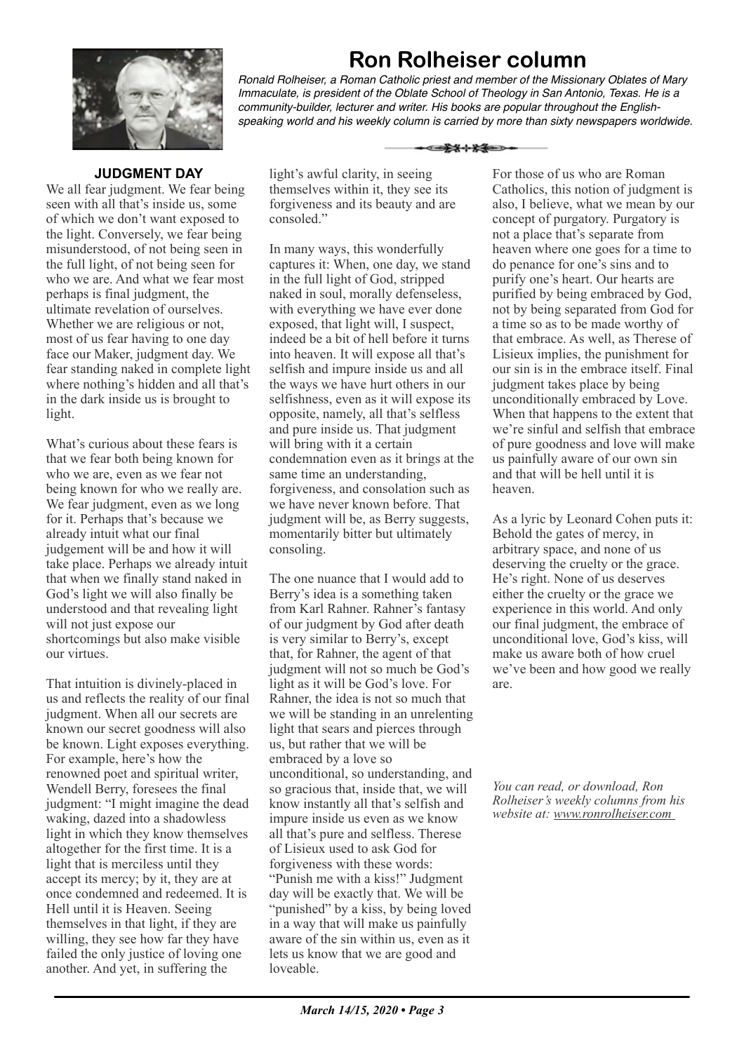

**Ron Rolheiser column** *Ronald Rolheiser, a Roman Catholic priest and member of the Missionary Oblates of Mary Immaculate, is president of the Oblate School of Theology in San Antonio, Texas. He is a community-builder, lecturer and writer. His books are popular throughout the Englishspeaking world and his weekly column is carried by more than sixty newspapers worldwide.*

▅▛⋠⊹⋡<del>⋬</del>═⋗

# **JUDGMENT DAY**

We all fear judgment. We fear being. seen with all that's inside us, some of which we don't want exposed to the light. Conversely, we fear being misunderstood, of not being seen in the full light, of not being seen for who we are. And what we fear most perhaps is final judgment, the ultimate revelation of ourselves. Whether we are religious or not, most of us fear having to one day face our Maker, judgment day. We fear standing naked in complete light where nothing's hidden and all that's in the dark inside us is brought to light.

What's curious about these fears is that we fear both being known for who we are, even as we fear not being known for who we really are. We fear judgment, even as we long for it. Perhaps that's because we already intuit what our final judgement will be and how it will take place. Perhaps we already intuit that when we finally stand naked in God's light we will also finally be understood and that revealing light will not just expose our shortcomings but also make visible our virtues.

That intuition is divinely-placed in us and reflects the reality of our final judgment. When all our secrets are known our secret goodness will also be known. Light exposes everything. For example, here's how the renowned poet and spiritual writer, Wendell Berry, foresees the final judgment: "I might imagine the dead waking, dazed into a shadowless light in which they know themselves altogether for the first time. It is a light that is merciless until they accept its mercy; by it, they are at once condemned and redeemed. It is Hell until it is Heaven. Seeing themselves in that light, if they are willing, they see how far they have failed the only justice of loving one another. And yet, in suffering the

light's awful clarity, in seeing themselves within it, they see its forgiveness and its beauty and are consoled."

In many ways, this wonderfully captures it: When, one day, we stand in the full light of God, stripped naked in soul, morally defenseless, with everything we have ever done exposed, that light will, I suspect, indeed be a bit of hell before it turns into heaven. It will expose all that's selfish and impure inside us and all the ways we have hurt others in our selfishness, even as it will expose its opposite, namely, all that's selfless and pure inside us. That judgment will bring with it a certain condemnation even as it brings at the same time an understanding, forgiveness, and consolation such as we have never known before. That judgment will be, as Berry suggests, momentarily bitter but ultimately consoling.

The one nuance that I would add to Berry's idea is a something taken from Karl Rahner. Rahner's fantasy of our judgment by God after death is very similar to Berry's, except that, for Rahner, the agent of that judgment will not so much be God's light as it will be God's love. For Rahner, the idea is not so much that we will be standing in an unrelenting light that sears and pierces through us, but rather that we will be embraced by a love so unconditional, so understanding, and so gracious that, inside that, we will know instantly all that's selfish and impure inside us even as we know all that's pure and selfless. Therese of Lisieux used to ask God for forgiveness with these words: "Punish me with a kiss!" Judgment day will be exactly that. We will be "punished" by a kiss, by being loved in a way that will make us painfully aware of the sin within us, even as it lets us know that we are good and loveable.

For those of us who are Roman Catholics, this notion of judgment is also, I believe, what we mean by our concept of purgatory. Purgatory is not a place that's separate from heaven where one goes for a time to do penance for one's sins and to purify one's heart. Our hearts are purified by being embraced by God, not by being separated from God for a time so as to be made worthy of that embrace. As well, as Therese of Lisieux implies, the punishment for our sin is in the embrace itself. Final judgment takes place by being unconditionally embraced by Love. When that happens to the extent that we're sinful and selfish that embrace of pure goodness and love will make us painfully aware of our own sin and that will be hell until it is heaven.

As a lyric by Leonard Cohen puts it: Behold the gates of mercy, in arbitrary space, and none of us deserving the cruelty or the grace. He's right. None of us deserves either the cruelty or the grace we experience in this world. And only our final judgment, the embrace of unconditional love, God's kiss, will make us aware both of how cruel we've been and how good we really are.

*You can read, or download, Ron Rolheiser's weekly columns from his website at: www.ronrolheiser.com*